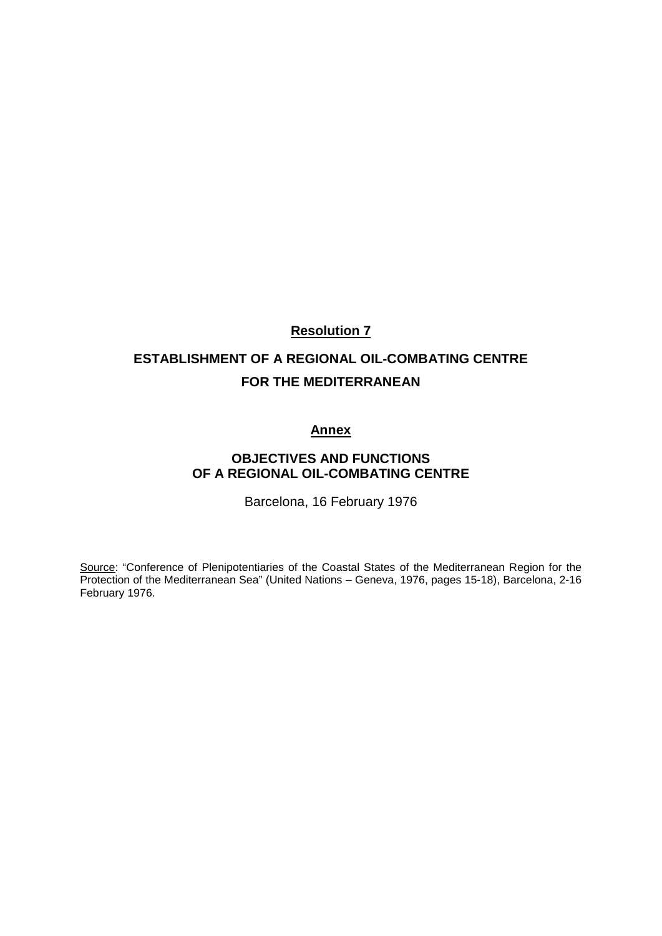## **Resolution 7**

# **ESTABLISHMENT OF A REGIONAL OIL-COMBATING CENTRE FOR THE MEDITERRANEAN**

### **Annex**

## **OBJECTIVES AND FUNCTIONS OF A REGIONAL OIL-COMBATING CENTRE**

Barcelona, 16 February 1976

Source: "Conference of Plenipotentiaries of the Coastal States of the Mediterranean Region for the Protection of the Mediterranean Sea" (United Nations – Geneva, 1976, pages 15-18), Barcelona, 2-16 February 1976.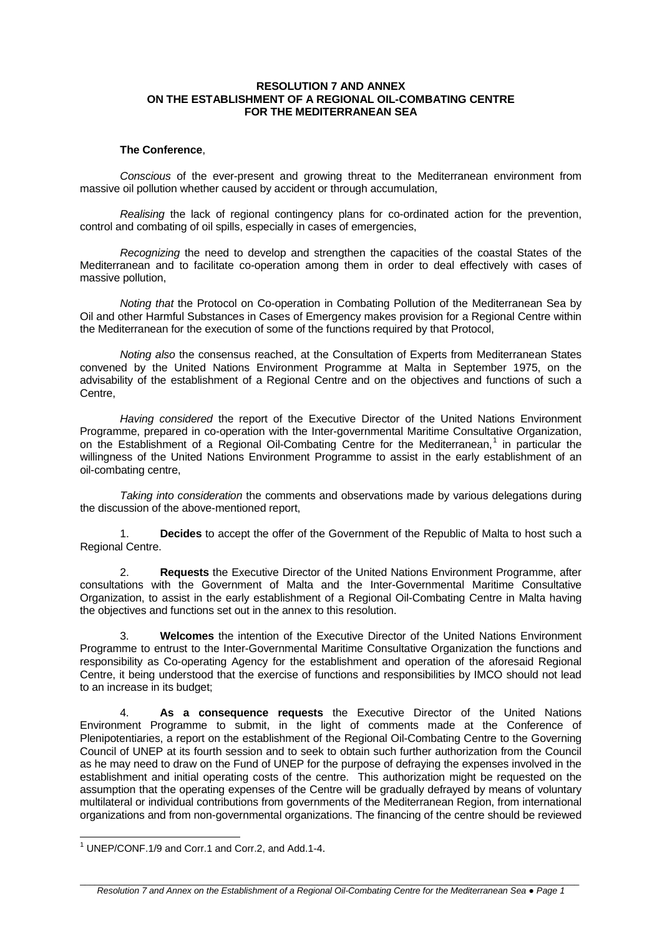#### **RESOLUTION 7 AND ANNEX ON THE ESTABLISHMENT OF A REGIONAL OIL-COMBATING CENTRE FOR THE MEDITERRANEAN SEA**

#### **The Conference**,

*Conscious* of the ever-present and growing threat to the Mediterranean environment from massive oil pollution whether caused by accident or through accumulation,

*Realising* the lack of regional contingency plans for co-ordinated action for the prevention, control and combating of oil spills, especially in cases of emergencies,

*Recognizing* the need to develop and strengthen the capacities of the coastal States of the Mediterranean and to facilitate co-operation among them in order to deal effectively with cases of massive pollution,

*Noting that* the Protocol on Co-operation in Combating Pollution of the Mediterranean Sea by Oil and other Harmful Substances in Cases of Emergency makes provision for a Regional Centre within the Mediterranean for the execution of some of the functions required by that Protocol,

*Noting also* the consensus reached, at the Consultation of Experts from Mediterranean States convened by the United Nations Environment Programme at Malta in September 1975, on the advisability of the establishment of a Regional Centre and on the objectives and functions of such a Centre,

*Having considered* the report of the Executive Director of the United Nations Environment Programme, prepared in co-operation with the Inter-governmental Maritime Consultative Organization, on the Establishment of a Regional Oil-Combating Centre for the Mediterranean,<sup>[1](#page-2-0)</sup> in particular the willingness of the United Nations Environment Programme to assist in the early establishment of an oil-combating centre,

*Taking into consideration* the comments and observations made by various delegations during the discussion of the above-mentioned report,

1. **Decides** to accept the offer of the Government of the Republic of Malta to host such a Regional Centre.

2. **Requests** the Executive Director of the United Nations Environment Programme, after consultations with the Government of Malta and the Inter-Governmental Maritime Consultative Organization, to assist in the early establishment of a Regional Oil-Combating Centre in Malta having the objectives and functions set out in the annex to this resolution.

3. **Welcomes** the intention of the Executive Director of the United Nations Environment Programme to entrust to the Inter-Governmental Maritime Consultative Organization the functions and responsibility as Co-operating Agency for the establishment and operation of the aforesaid Regional Centre, it being understood that the exercise of functions and responsibilities by IMCO should not lead to an increase in its budget;

4. **As a consequence requests** the Executive Director of the United Nations Environment Programme to submit, in the light of comments made at the Conference of Plenipotentiaries, a report on the establishment of the Regional Oil-Combating Centre to the Governing Council of UNEP at its fourth session and to seek to obtain such further authorization from the Council as he may need to draw on the Fund of UNEP for the purpose of defraying the expenses involved in the establishment and initial operating costs of the centre. This authorization might be requested on the assumption that the operating expenses of the Centre will be gradually defrayed by means of voluntary multilateral or individual contributions from governments of the Mediterranean Region, from international organizations and from non-governmental organizations. The financing of the centre should be reviewed

<span id="page-2-0"></span><sup>1</sup> UNEP/CONF.1/9 and Corr.1 and Corr.2, and Add.1-4.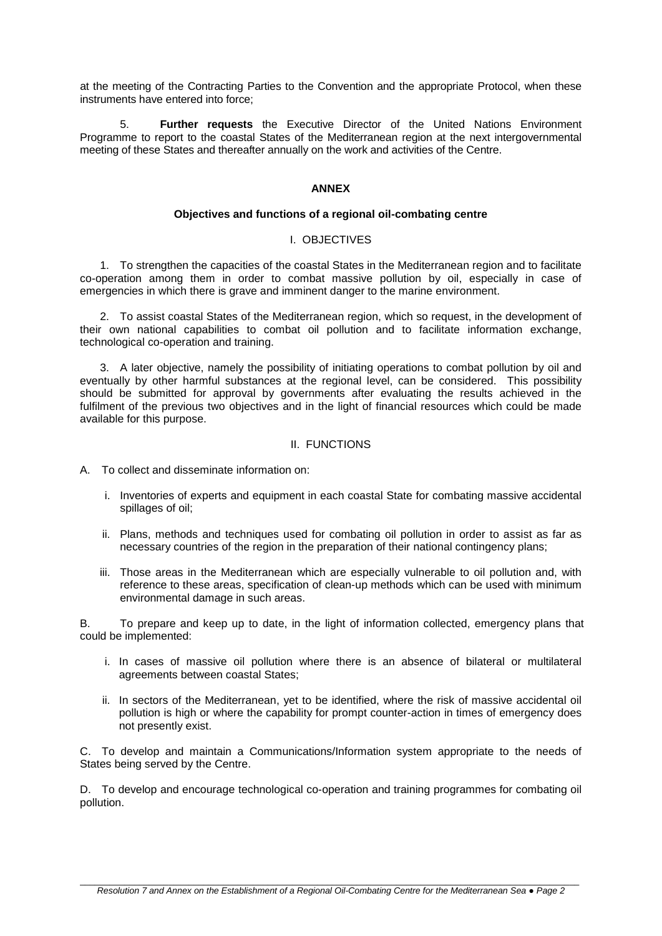at the meeting of the Contracting Parties to the Convention and the appropriate Protocol, when these instruments have entered into force;

5. **Further requests** the Executive Director of the United Nations Environment Programme to report to the coastal States of the Mediterranean region at the next intergovernmental meeting of these States and thereafter annually on the work and activities of the Centre.

#### **ANNEX**

#### **Objectives and functions of a regional oil-combating centre**

#### I. OBJECTIVES

1. To strengthen the capacities of the coastal States in the Mediterranean region and to facilitate co-operation among them in order to combat massive pollution by oil, especially in case of emergencies in which there is grave and imminent danger to the marine environment.

2. To assist coastal States of the Mediterranean region, which so request, in the development of their own national capabilities to combat oil pollution and to facilitate information exchange, technological co-operation and training.

3. A later objective, namely the possibility of initiating operations to combat pollution by oil and eventually by other harmful substances at the regional level, can be considered. This possibility should be submitted for approval by governments after evaluating the results achieved in the fulfilment of the previous two objectives and in the light of financial resources which could be made available for this purpose.

#### II. FUNCTIONS

A. To collect and disseminate information on:

- i. Inventories of experts and equipment in each coastal State for combating massive accidental spillages of oil;
- ii. Plans, methods and techniques used for combating oil pollution in order to assist as far as necessary countries of the region in the preparation of their national contingency plans;
- iii. Those areas in the Mediterranean which are especially vulnerable to oil pollution and, with reference to these areas, specification of clean-up methods which can be used with minimum environmental damage in such areas.

B. To prepare and keep up to date, in the light of information collected, emergency plans that could be implemented:

- i. In cases of massive oil pollution where there is an absence of bilateral or multilateral agreements between coastal States;
- ii. In sectors of the Mediterranean, yet to be identified, where the risk of massive accidental oil pollution is high or where the capability for prompt counter-action in times of emergency does not presently exist.

C. To develop and maintain a Communications/Information system appropriate to the needs of States being served by the Centre.

D. To develop and encourage technological co-operation and training programmes for combating oil pollution.